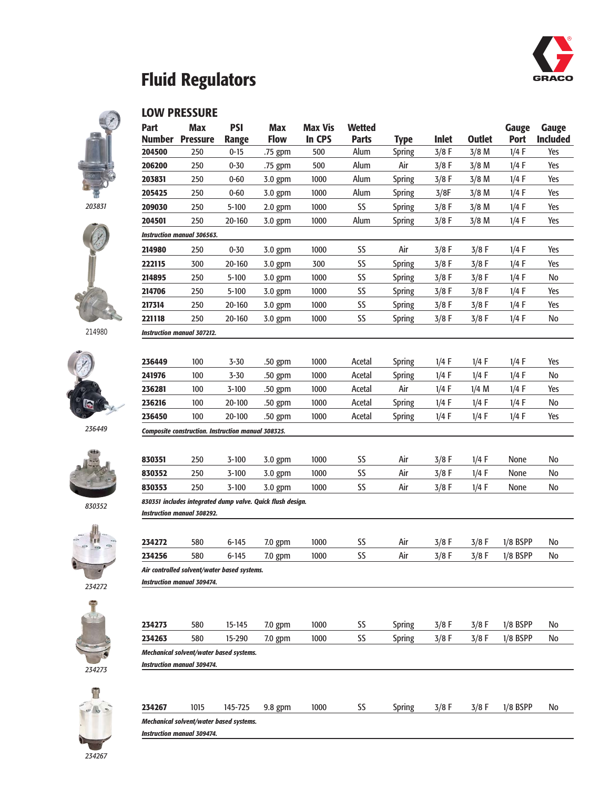

### **Fluid Regulators**

#### **LOW PRESSURE**

*Instruction manual 306563.*

*Instruction manual 307212.*

*Composite construction. Instruction manual 308325.*













|                                   |      |                                                | 830351 includes integrated dump valve. Quick flush design. |      |    |               |         |         |            |    |
|-----------------------------------|------|------------------------------------------------|------------------------------------------------------------|------|----|---------------|---------|---------|------------|----|
| <b>Instruction manual 308292.</b> |      |                                                |                                                            |      |    |               |         |         |            |    |
|                                   |      |                                                |                                                            |      |    |               |         |         |            |    |
| 234272                            | 580  | $6 - 145$                                      | $7.0$ gpm                                                  | 1000 | SS | Air           | $3/8$ F | $3/8$ F | $1/8$ BSPP | No |
| 234256                            | 580  | $6 - 145$                                      | $7.0$ gpm                                                  | 1000 | SS | Air           | $3/8$ F | $3/8$ F | $1/8$ BSPP | No |
|                                   |      | Air controlled solvent/water based systems.    |                                                            |      |    |               |         |         |            |    |
| <b>Instruction manual 309474.</b> |      |                                                |                                                            |      |    |               |         |         |            |    |
|                                   |      |                                                |                                                            |      |    |               |         |         |            |    |
| 234273                            | 580  | $15 - 145$                                     | $7.0$ gpm                                                  | 1000 | SS | <b>Spring</b> | $3/8$ F | $3/8$ F | $1/8$ BSPP | No |
| 234263                            | 580  | 15-290                                         | $7.0$ gpm                                                  | 1000 | SS | <b>Spring</b> | $3/8$ F | $3/8$ F | $1/8$ BSPP | No |
|                                   |      | Mechanical solvent/water based systems.        |                                                            |      |    |               |         |         |            |    |
| <b>Instruction manual 309474.</b> |      |                                                |                                                            |      |    |               |         |         |            |    |
|                                   |      |                                                |                                                            |      |    |               |         |         |            |    |
| 234267                            | 1015 | 145-725                                        | 9.8 gpm                                                    | 1000 | SS | <b>Spring</b> | $3/8$ F | $3/8$ F | $1/8$ BSPP | No |
|                                   |      | <b>Mechanical solvent/water based systems.</b> |                                                            |      |    |               |         |         |            |    |

**Part Max PSI Max Max Vis Wetted Gauge Gauge Number Pressure Range Flow In CPS Parts Type Inlet Outlet Port Included** 250 0-15 .75 gpm 500 Alum Spring 3/8 F 3/8 M 1/4 F Yes 250 0-30 .75 gpm 500 Alum Air 3/8 F 3/8 M 1/4 F Yes 250 0-60 3.0 gpm 1000 Alum Spring 3/8 F 3/8 M 1/4 F Yes 250 0-60 3.0 gpm 1000 Alum Spring 3/8F 3/8 M 1/4 F Yes 250 5-100 2.0 gpm 1000 SS Spring 3/8 F 3/8 M 1/4 F Yes 250 20-160 3.0 gpm 1000 Alum Spring 3/8 F 3/8 M 1/4 F Yes

 250 0-30 3.0 gpm 1000 SS Air 3/8 F 3/8 F 1/4 F Yes 300 20-160 3.0 gpm 300 SS Spring 3/8 F 3/8 F 1/4 F Yes 250 5-100 3.0.gpm 1000 SS Spring 3/8 F 3/8 F 1/4 F No 250 5-100 3.0 gpm 1000 SS Spring 3/8 F 3/8 F 1/4 F Yes 250 20-160 3.0 gpm 1000 SS Spring 3/8 F 3/8 F 1/4 F Yes 250 20-160 3.0 gpm 1000 SS Spring 3/8 F 3/8 F 1/4 F No

 100 3-30 .50 gpm 1000 Acetal Spring 1/4 F 1/4 F 1/4 F Yes 100 3-30 .50 gpm 1000 Acetal Spring 1/4 F 1/4 F 1/4 F No 100 3-100 .50 gpm 1000 Acetal Air 1/4 F 1/4 M 1/4 F Yes 100 20-100 .50 gpm 1000 Acetal Spring 1/4 F 1/4 F 1/4 F No 100 20-100 .50 gpm 1000 Acetal Spring 1/4 F 1/4 F 1/4 F Yes

 250 3-100 3.0.gpm 1000 SS Air 3/8 F 1/4 F None No 250 3-100 3.0 gpm 1000 SS Air 3/8 F 1/4 F None No 250 3-100 3.0 gpm 1000 SS Air 3/8 F 1/4 F None No

*Instruction manual 309474.*

| ×<br>٧<br>٧<br>n e<br>.,            |  |
|-------------------------------------|--|
| __<br><b>STATISTICS</b><br>e.<br>e. |  |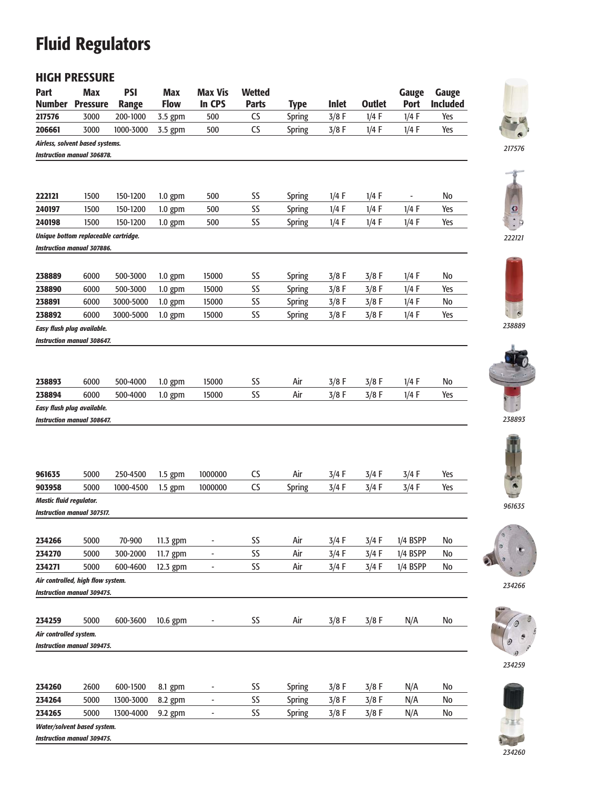# **Fluid Regulators**

### **HIGH PRESSURE**

| Part                       | <b>Max</b>                                                      | <b>PSI</b>   | <b>Max</b>  | <b>Max Vis</b> | <b>Wetted</b> |               |         |               | Gauge                    | <b>Gauge</b>    |
|----------------------------|-----------------------------------------------------------------|--------------|-------------|----------------|---------------|---------------|---------|---------------|--------------------------|-----------------|
| Number                     | <b>Pressure</b>                                                 | <b>Range</b> | <b>Flow</b> | In CPS         | <b>Parts</b>  | <b>Type</b>   | Inlet   | <b>Outlet</b> | <b>Port</b>              | <b>Included</b> |
| 217576                     | 3000                                                            | 200-1000     | 3.5 gpm     | 500            | CS            | <b>Spring</b> | $3/8$ F | $1/4$ F       | $1/4$ F                  | Yes             |
| 206661                     | 3000                                                            | 1000-3000    | 3.5 gpm     | 500            | CS            | <b>Spring</b> | $3/8$ F | $1/4$ F       | $1/4$ F                  | Yes             |
|                            | Airless, solvent based systems.                                 |              |             |                |               |               |         |               |                          |                 |
|                            | Instruction manual 306878.                                      |              |             |                |               |               |         |               |                          |                 |
|                            |                                                                 |              |             |                |               |               |         |               |                          |                 |
|                            |                                                                 |              |             |                |               |               |         |               |                          |                 |
| 222121                     | 1500                                                            | 150-1200     | $1.0$ gpm   | 500            | SS            | <b>Spring</b> | $1/4$ F | $1/4$ F       | $\overline{\phantom{a}}$ | No              |
| 240197                     | 1500                                                            | 150-1200     | $1.0$ gpm   | 500            | SS            | Spring        | $1/4$ F | $1/4$ F       | $1/4$ F                  | Yes             |
| 240198                     | 1500                                                            | 150-1200     | $1.0$ gpm   | 500            | SS            | Spring        | $1/4$ F | $1/4$ F       | $1/4$ F                  | Yes             |
|                            | Unique bottom replaceable cartridge.                            |              |             |                |               |               |         |               |                          |                 |
|                            | <b>Instruction manual 307886.</b>                               |              |             |                |               |               |         |               |                          |                 |
|                            |                                                                 |              |             |                |               |               |         |               |                          |                 |
| 238889                     | 6000                                                            | 500-3000     | $1.0$ gpm   | 15000          | SS            | <b>Spring</b> | $3/8$ F | $3/8$ F       | $1/4$ F                  | No              |
| 238890                     | 6000                                                            | 500-3000     | $1.0$ gpm   | 15000          | SS            | Spring        | $3/8$ F | $3/8$ F       | 1/4 F                    | Yes             |
| 238891                     | 6000                                                            | 3000-5000    | $1.0$ gpm   | 15000          | SS            | <b>Spring</b> | $3/8$ F | $3/8$ F       | $1/4$ F                  | No              |
| 238892                     | 6000                                                            | 3000-5000    |             | 15000          | SS            | Spring        | $3/8$ F | $3/8$ F       | $1/4$ F                  | Yes             |
|                            |                                                                 |              | $1.0$ gpm   |                |               |               |         |               |                          |                 |
| Easy flush plug available. | Instruction manual 308647.                                      |              |             |                |               |               |         |               |                          |                 |
|                            |                                                                 |              |             |                |               |               |         |               |                          |                 |
|                            |                                                                 |              |             |                |               |               |         |               |                          |                 |
|                            |                                                                 |              |             |                |               |               |         |               |                          |                 |
| 238893                     | 6000                                                            | 500-4000     | $1.0$ gpm   | 15000          | SS            | Air           | $3/8$ F | $3/8$ F       | $1/4$ F                  | No              |
| 238894                     | 6000                                                            | 500-4000     | $1.0$ gpm   | 15000          | SS            | Air           | $3/8$ F | $3/8$ F       | $1/4$ F                  | Yes             |
| Easy flush plug available. |                                                                 |              |             |                |               |               |         |               |                          |                 |
|                            | Instruction manual 308647.                                      |              |             |                |               |               |         |               |                          |                 |
|                            |                                                                 |              |             |                |               |               |         |               |                          |                 |
|                            |                                                                 |              |             |                |               |               |         |               |                          |                 |
|                            |                                                                 |              |             |                |               |               |         |               |                          |                 |
| 961635                     | 5000                                                            | 250-4500     | $1.5$ gpm   | 1000000        | CS            | Air           | $3/4$ F | 3/4 F         | $3/4$ F                  | Yes             |
| 903958                     | 5000                                                            | 1000-4500    | $1.5$ gpm   | 1000000        | CS            | Spring        | $3/4$ F | $3/4$ F       | $3/4$ F                  | Yes             |
| Mastic fluid regulator.    |                                                                 |              |             |                |               |               |         |               |                          |                 |
|                            | <b>Instruction manual 307517.</b>                               |              |             |                |               |               |         |               |                          |                 |
|                            |                                                                 |              |             |                |               |               |         |               |                          |                 |
|                            |                                                                 |              |             |                |               |               |         |               |                          |                 |
| 234266                     | 5000                                                            | 70-900       | 11.3 gpm    |                | SS            | Air           | $3/4$ F | 3/4 F         | $1/4$ BSPP               | No              |
| 234270                     | 5000                                                            | 300-2000     | 11.7 gpm    |                | SS            | Air           | $3/4$ F | 3/4 F         | $1/4$ BSPP               | No              |
| 234271                     | 5000                                                            | 600-4600     | 12.3 gpm    |                | SS            | Air           | $3/4$ F | $3/4$ F       | $1/4$ BSPP               | No              |
|                            | Air controlled, high flow system.                               |              |             |                |               |               |         |               |                          |                 |
|                            | <b>Instruction manual 309475.</b>                               |              |             |                |               |               |         |               |                          |                 |
|                            |                                                                 |              |             |                |               |               |         |               |                          |                 |
| 234259                     | 5000                                                            | 600-3600     | $10.6$ gpm  |                | SS            | Air           | $3/8$ F | $3/8$ F       | N/A                      | No              |
| Air controlled system.     |                                                                 |              |             |                |               |               |         |               |                          |                 |
|                            | <b>Instruction manual 309475.</b>                               |              |             |                |               |               |         |               |                          |                 |
|                            |                                                                 |              |             |                |               |               |         |               |                          |                 |
|                            |                                                                 |              |             |                |               |               |         |               |                          |                 |
| 234260                     | 2600                                                            | 600-1500     | 8.1 gpm     |                | SS            | Spring        | $3/8$ F | 3/8 F         | N/A                      | No              |
| 234264                     | 5000                                                            | 1300-3000    | 8.2 gpm     |                | SS            | Spring        | $3/8$ F | $3/8$ F       | N/A                      | No              |
| 234265                     | 5000                                                            |              |             |                | SS            |               | $3/8$ F |               |                          | No              |
|                            |                                                                 | 1300-4000    | $9.2$ gpm   | -              |               | <b>Spring</b> |         | $3/8$ F       | N/A                      |                 |
|                            | <b>Water/solvent based system.</b><br>Incharction manual 700475 |              |             |                |               |               |         |               |                          |                 |



*217576*





*238889*



*238893*



*961635*



*234266*





*Instruction manual 309475.*

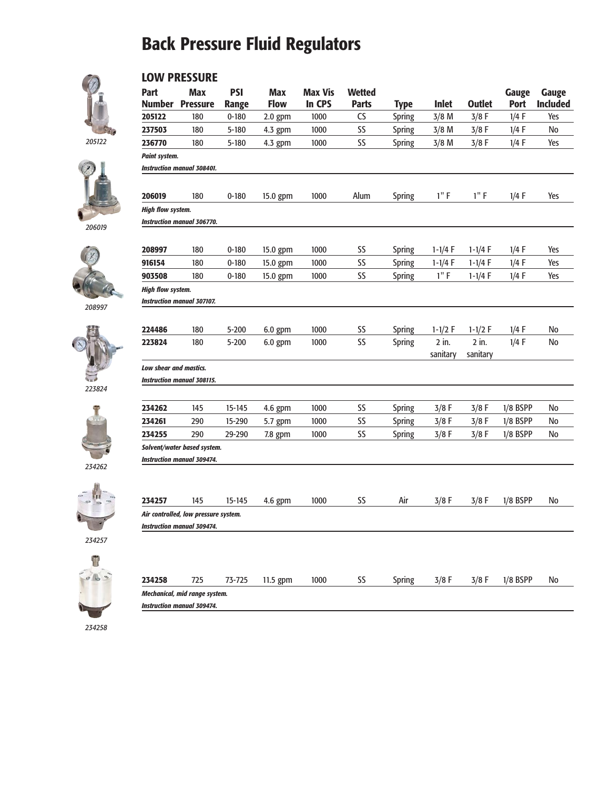### **Back Pressure Fluid Regulators**



#### **LOW PRESSURE**

*205122*





*206019*



*208997*









*234257*



| 234258                               | 725 | 73-725 | $11.5$ gpm | 1000 | 55 | Spring | $3/8$ F | $3/8$ F | $1/8$ BSPP | No |
|--------------------------------------|-----|--------|------------|------|----|--------|---------|---------|------------|----|
| <b>Mechanical, mid range system.</b> |     |        |            |      |    |        |         |         |            |    |
| <b>Instruction manual 309474.</b>    |     |        |            |      |    |        |         |         |            |    |

*234258*